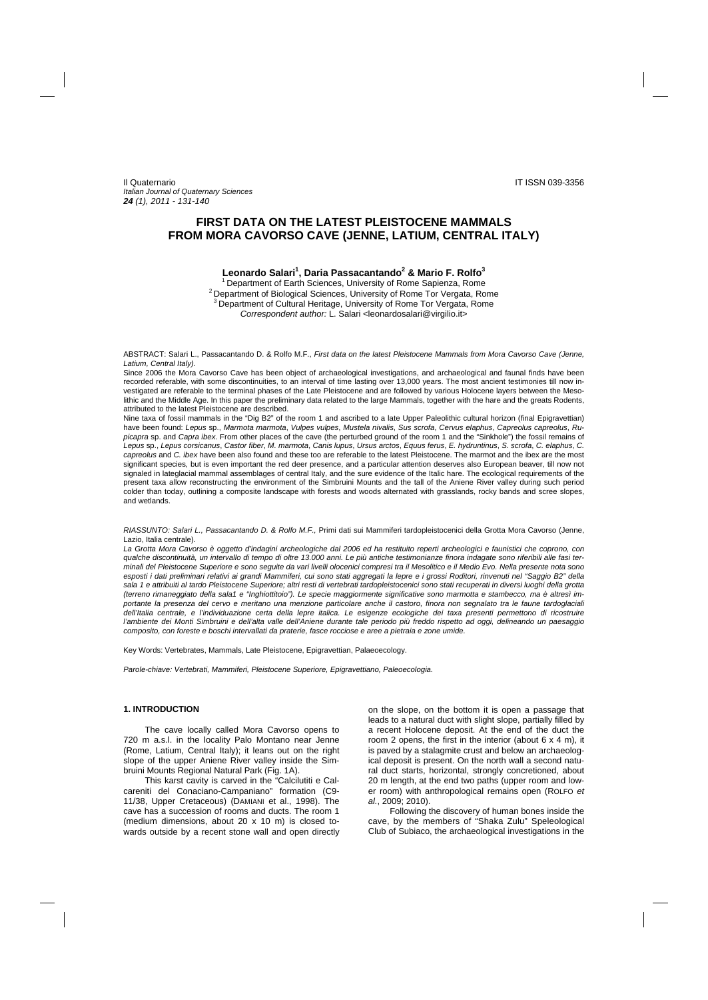# **FIRST DATA ON THE LATEST PLEISTOCENE MAMMALS FROM MORA CAVORSO CAVE (JENNE, LATIUM, CENTRAL ITALY)**

## **Leonardo Salari1 , Daria Passacantando2 & Mario F. Rolfo<sup>3</sup>**

<sup>1</sup> Department of Earth Sciences, University of Rome Sapienza, Rome  $2^2$  Department of Biological Sciences, University of Rome Tor Vergata, Rome 3 Department of Cultural Heritage, University of Rome Tor Vergata, Rome *Correspondent author:* L. Salari <leonardosalari@virgilio.it>

ABSTRACT: Salari L., Passacantando D. & Rolfo M.F., *First data on the latest Pleistocene Mammals from Mora Cavorso Cave (Jenne, Latium, Central Italy)*.

Since 2006 the Mora Cavorso Cave has been object of archaeological investigations, and archaeological and faunal finds have been recorded referable, with some discontinuities, to an interval of time lasting over 13,000 years. The most ancient testimonies till now investigated are referable to the terminal phases of the Late Pleistocene and are followed by various Holocene layers between the Mesolithic and the Middle Age. In this paper the preliminary data related to the large Mammals, together with the hare and the greats Rodents, attributed to the latest Pleistocene are described.

Nine taxa of fossil mammals in the "Dig B2" of the room 1 and ascribed to a late Upper Paleolithic cultural horizon (final Epigravettian) have been found: *Lepus* sp., *Marmota marmota*, *Vulpes vulpes*, *Mustela nivalis*, *Sus scrofa*, *Cervus elaphus*, *Capreolus capreolus*, *Rupicapra* sp. and *Capra ibex*. From other places of the cave (the perturbed ground of the room 1 and the "Sinkhole") the fossil remains of *Lepus* sp., *Lepus corsicanus*, *Castor fiber*, *M. marmota*, *Canis lupus*, *Ursus arctos*, *Equus ferus*, *E. hydruntinus*, *S. scrofa*, *C. elaphus*, *C. capreolus* and *C. ibex* have been also found and these too are referable to the latest Pleistocene. The marmot and the ibex are the most significant species, but is even important the red deer presence, and a particular attention deserves also European beaver, till now not signaled in lateglacial mammal assemblages of central Italy, and the sure evidence of the Italic hare. The ecological requirements of the present taxa allow reconstructing the environment of the Simbruini Mounts and the tall of the Aniene River valley during such period colder than today, outlining a composite landscape with forests and woods alternated with grasslands, rocky bands and scree slopes, and wetlands.

*RIASSUNTO: Salari L., Passacantando D. & Rolfo M.F.,* Primi dati sui Mammiferi tardopleistocenici della Grotta Mora Cavorso (Jenne, Lazio, Italia centrale).

*La Grotta Mora Cavorso è oggetto d'indagini archeologiche dal 2006 ed ha restituito reperti archeologici e faunistici che coprono, con qualche discontinuità, un intervallo di tempo di oltre 13.000 anni. Le più antiche testimonianze finora indagate sono riferibili alle fasi terminali del Pleistocene Superiore e sono seguite da vari livelli olocenici compresi tra il Mesolitico e il Medio Evo. Nella presente nota sono esposti i dati preliminari relativi ai grandi Mammiferi, cui sono stati aggregati la lepre e i grossi Roditori, rinvenuti nel "Saggio B2" della sala 1 e attribuiti al tardo Pleistocene Superiore; altri resti di vertebrati tardopleistocenici sono stati recuperati in diversi luoghi della grotta (terreno rimaneggiato della sala1 e "Inghiottitoio"). Le specie maggiormente significative sono marmotta e stambecco, ma è altresì importante la presenza del cervo e meritano una menzione particolare anche il castoro, finora non segnalato tra le faune tardoglaciali*  dell'Italia centrale, e l'individuazione certa della lepre italica. Le esigenze ecologiche dei taxa presenti permettono di ricostruire l'ambiente dei Monti Simbruini e dell'alta valle dell'Aniene durante tale periodo più freddo rispetto ad oggi, delineando un paesaggio *composito, con foreste e boschi intervallati da praterie, fasce rocciose e aree a pietraia e zone umide.* 

Key Words: Vertebrates, Mammals, Late Pleistocene, Epigravettian, Palaeoecology.

*Parole-chiave: Vertebrati, Mammiferi, Pleistocene Superiore, Epigravettiano, Paleoecologia.* 

### **1. INTRODUCTION**

The cave locally called Mora Cavorso opens to 720 m a.s.l. in the locality Palo Montano near Jenne (Rome, Latium, Central Italy); it leans out on the right slope of the upper Aniene River valley inside the Simbruini Mounts Regional Natural Park (Fig. 1A).

This karst cavity is carved in the "Calcilutiti e Calcareniti del Conaciano-Campaniano" formation (C9- 11/38, Upper Cretaceous) (DAMIANI et al., 1998). The cave has a succession of rooms and ducts. The room 1 (medium dimensions, about 20 x 10 m) is closed towards outside by a recent stone wall and open directly

on the slope, on the bottom it is open a passage that leads to a natural duct with slight slope, partially filled by a recent Holocene deposit. At the end of the duct the room 2 opens, the first in the interior (about  $6 \times 4$  m), it is paved by a stalagmite crust and below an archaeological deposit is present. On the north wall a second natural duct starts, horizontal, strongly concretioned, about 20 m length, at the end two paths (upper room and lower room) with anthropological remains open (ROLFO *et al.*, 2009; 2010).

Following the discovery of human bones inside the cave, by the members of "Shaka Zulu" Speleological Club of Subiaco, the archaeological investigations in the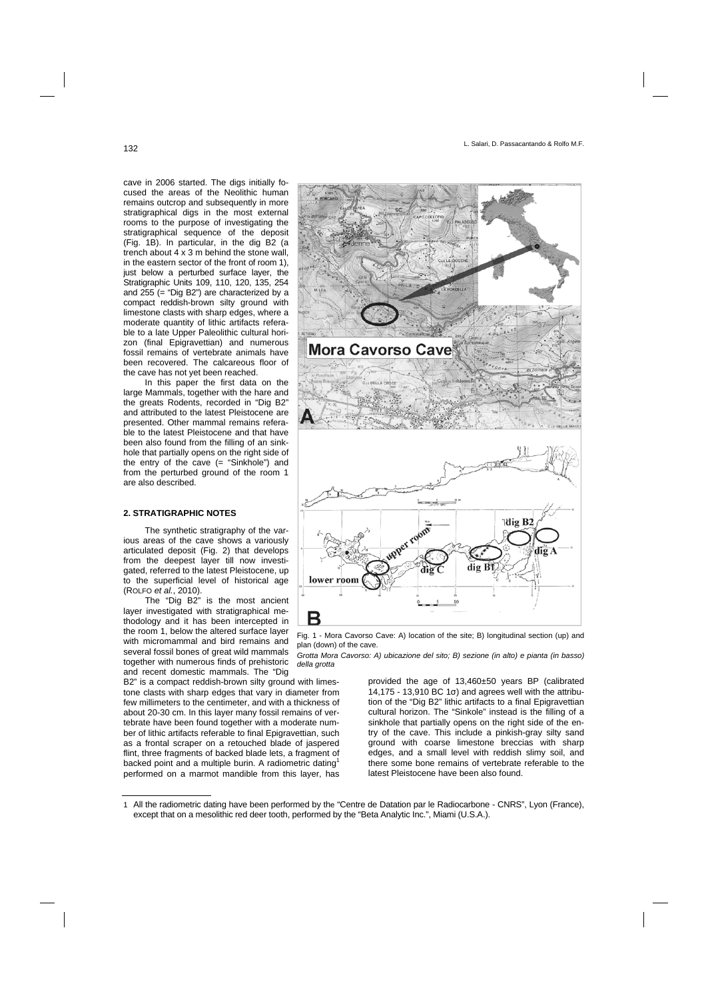cave in 2006 started. The digs initially focused the areas of the Neolithic human remains outcrop and subsequently in more stratigraphical digs in the most external rooms to the purpose of investigating the stratigraphical sequence of the deposit (Fig. 1B). In particular, in the dig B2 (a trench about 4 x 3 m behind the stone wall, in the eastern sector of the front of room 1), just below a perturbed surface layer, the Stratigraphic Units 109, 110, 120, 135, 254 and 255 (= "Dig B2") are characterized by a compact reddish-brown silty ground with limestone clasts with sharp edges, where a moderate quantity of lithic artifacts referable to a late Upper Paleolithic cultural horizon (final Epigravettian) and numerous fossil remains of vertebrate animals have been recovered. The calcareous floor of the cave has not yet been reached.

In this paper the first data on the large Mammals, together with the hare and the greats Rodents, recorded in "Dig B2" and attributed to the latest Pleistocene are presented. Other mammal remains referable to the latest Pleistocene and that have been also found from the filling of an sinkhole that partially opens on the right side of the entry of the cave (= "Sinkhole") and from the perturbed ground of the room 1 are also described.

### **2. STRATIGRAPHIC NOTES**

The synthetic stratigraphy of the various areas of the cave shows a variously articulated deposit (Fig. 2) that develops from the deepest layer till now investigated, referred to the latest Pleistocene, up to the superficial level of historical age (ROLFO *et al.*, 2010).

The "Dig B2" is the most ancient layer investigated with stratigraphical methodology and it has been intercepted in the room 1, below the altered surface layer with micromammal and bird remains and several fossil bones of great wild mammals together with numerous finds of prehistoric and recent domestic mammals. The "Dig

B2" is a compact reddish-brown silty ground with limestone clasts with sharp edges that vary in diameter from few millimeters to the centimeter, and with a thickness of about 20-30 cm. In this layer many fossil remains of vertebrate have been found together with a moderate number of lithic artifacts referable to final Epigravettian, such as a frontal scraper on a retouched blade of jaspered flint, three fragments of backed blade lets, a fragment of backed point and a multiple burin. A radiometric dating<sup>1</sup> performed on a marmot mandible from this layer, has





*Grotta Mora Cavorso: A) ubicazione del sito; B) sezione (in alto) e pianta (in basso) della grotta* 

> provided the age of 13,460±50 years BP (calibrated 14,175 - 13,910 BC 1σ) and agrees well with the attribution of the "Dig B2" lithic artifacts to a final Epigravettian cultural horizon. The "Sinkole" instead is the filling of a sinkhole that partially opens on the right side of the entry of the cave. This include a pinkish-gray silty sand ground with coarse limestone breccias with sharp edges, and a small level with reddish slimy soil, and there some bone remains of vertebrate referable to the latest Pleistocene have been also found.

<sup>1</sup> All the radiometric dating have been performed by the "Centre de Datation par le Radiocarbone - CNRS", Lyon (France), except that on a mesolithic red deer tooth, performed by the "Beta Analytic Inc.", Miami (U.S.A.).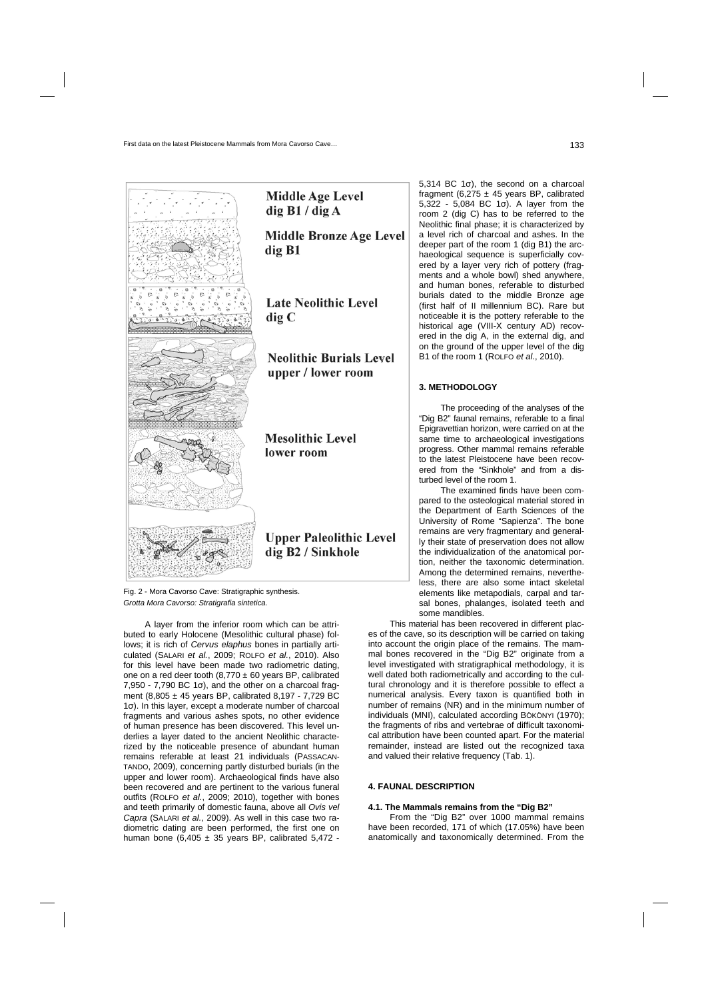

Fig. 2 - Mora Cavorso Cave: Stratigraphic synthesis. *Grotta Mora Cavorso: Stratigrafia sintetica.* 

A layer from the inferior room which can be attributed to early Holocene (Mesolithic cultural phase) follows; it is rich of *Cervus elaphus* bones in partially articulated (SALARI *et al.*, 2009; ROLFO *et al.*, 2010). Also for this level have been made two radiometric dating, one on a red deer tooth  $(8,770 \pm 60$  years BP, calibrated  $7,950 - 7,790$  BC 1 $\sigma$ ), and the other on a charcoal fragment (8,805 ± 45 years BP, calibrated 8,197 - 7,729 BC 1σ). In this layer, except a moderate number of charcoal fragments and various ashes spots, no other evidence of human presence has been discovered. This level underlies a layer dated to the ancient Neolithic characterized by the noticeable presence of abundant human remains referable at least 21 individuals (PASSACAN-TANDO, 2009), concerning partly disturbed burials (in the upper and lower room). Archaeological finds have also been recovered and are pertinent to the various funeral outfits (ROLFO *et al.*, 2009; 2010), together with bones and teeth primarily of domestic fauna, above all *Ovis vel Capra* (SALARI *et al.*, 2009). As well in this case two radiometric dating are been performed, the first one on human bone  $(6,405 \pm 35)$  years BP, calibrated 5,472 -

5,314 BC 1σ), the second on a charcoal fragment (6,275  $\pm$  45 years BP, calibrated 5,322 - 5,084 BC 1σ). A layer from the room 2 (dig C) has to be referred to the Neolithic final phase; it is characterized by a level rich of charcoal and ashes. In the deeper part of the room 1 (dig B1) the archaeological sequence is superficially covered by a layer very rich of pottery (fragments and a whole bowl) shed anywhere, and human bones, referable to disturbed burials dated to the middle Bronze age (first half of II millennium BC). Rare but noticeable it is the pottery referable to the historical age (VIII-X century AD) recovered in the dig A, in the external dig, and on the ground of the upper level of the dig B1 of the room 1 (ROLFO *et al.*, 2010).

### **3. METHODOLOGY**

The proceeding of the analyses of the "Dig B2" faunal remains, referable to a final Epigravettian horizon, were carried on at the same time to archaeological investigations progress. Other mammal remains referable to the latest Pleistocene have been recovered from the "Sinkhole" and from a disturbed level of the room 1.

The examined finds have been compared to the osteological material stored in the Department of Earth Sciences of the University of Rome "Sapienza". The bone remains are very fragmentary and generally their state of preservation does not allow the individualization of the anatomical portion, neither the taxonomic determination. Among the determined remains, nevertheless, there are also some intact skeletal elements like metapodials, carpal and tarsal bones, phalanges, isolated teeth and some mandibles.

This material has been recovered in different places of the cave, so its description will be carried on taking into account the origin place of the remains. The mammal bones recovered in the "Dig B2" originate from a level investigated with stratigraphical methodology, it is well dated both radiometrically and according to the cultural chronology and it is therefore possible to effect a numerical analysis. Every taxon is quantified both in number of remains (NR) and in the minimum number of individuals (MNI), calculated according BÖKÖNYI (1970); the fragments of ribs and vertebrae of difficult taxonomical attribution have been counted apart. For the material remainder, instead are listed out the recognized taxa and valued their relative frequency (Tab. 1).

### **4. FAUNAL DESCRIPTION**

#### **4.1. The Mammals remains from the "Dig B2"**

From the "Dig B2" over 1000 mammal remains have been recorded, 171 of which (17.05%) have been anatomically and taxonomically determined. From the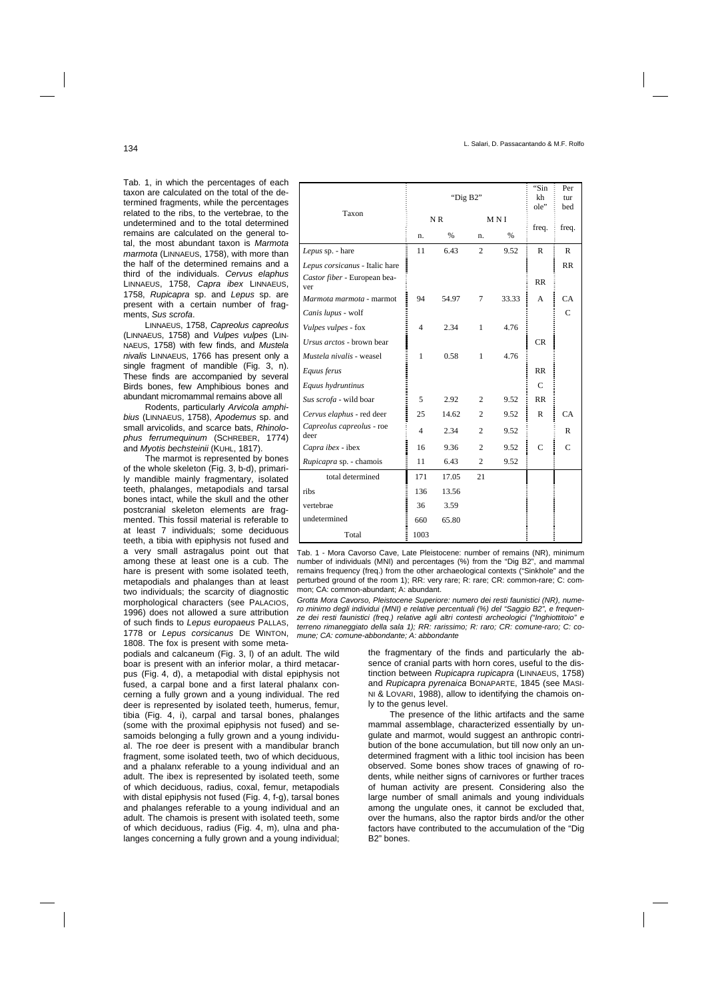Tab. 1, in which the percentages of each taxon are calculated on the total of the determined fragments, while the percentages related to the ribs, to the vertebrae, to the undetermined and to the total determined remains are calculated on the general total, the most abundant taxon is *Marmota marmota* (LINNAEUS, 1758), with more than the half of the determined remains and a third of the individuals. *Cervus elaphus* LINNAEUS, 1758, *Capra ibex* LINNAEUS, 1758, *Rupicapra* sp. and *Lepus* sp. are present with a certain number of fragments, *Sus scrofa*.

LINNAEUS, 1758, *Capreolus capreolus* (LINNAEUS, 1758) and *Vulpes vulpes* (LIN-NAEUS, 1758) with few finds, and *Mustela nivalis* LINNAEUS, 1766 has present only a single fragment of mandible (Fig. 3, n). These finds are accompanied by several Birds bones, few Amphibious bones and abundant micromammal remains above all

Rodents, particularly *Arvicola amphibius* (LINNAEUS, 1758), *Apodemus* sp. and small arvicolids, and scarce bats, *Rhinolophus ferrumequinum* (SCHREBER, 1774) and *Myotis bechsteinii* (KUHL, 1817).

The marmot is represented by bones of the whole skeleton (Fig. 3, b-d), primarily mandible mainly fragmentary, isolated teeth, phalanges, metapodials and tarsal bones intact, while the skull and the other postcranial skeleton elements are fragmented. This fossil material is referable to at least 7 individuals; some deciduous teeth, a tibia with epiphysis not fused and a very small astragalus point out that among these at least one is a cub. The hare is present with some isolated teeth, metapodials and phalanges than at least two individuals; the scarcity of diagnostic morphological characters (see PALACIOS, 1996) does not allowed a sure attribution of such finds to *Lepus europaeus* PALLAS, 1778 or *Lepus corsicanus* DE WINTON, 1808. The fox is present with some meta-

podials and calcaneum (Fig. 3, l) of an adult. The wild boar is present with an inferior molar, a third metacarpus (Fig. 4, d), a metapodial with distal epiphysis not fused, a carpal bone and a first lateral phalanx concerning a fully grown and a young individual. The red deer is represented by isolated teeth, humerus, femur, tibia (Fig. 4, i), carpal and tarsal bones, phalanges (some with the proximal epiphysis not fused) and sesamoids belonging a fully grown and a young individual. The roe deer is present with a mandibular branch fragment, some isolated teeth, two of which deciduous, and a phalanx referable to a young individual and an adult. The ibex is represented by isolated teeth, some of which deciduous, radius, coxal, femur, metapodials with distal epiphysis not fused (Fig. 4, f-g), tarsal bones and phalanges referable to a young individual and an adult. The chamois is present with isolated teeth, some of which deciduous, radius (Fig. 4, m), ulna and phalanges concerning a fully grown and a young individual;

| Taxon                               | "Dig B2"       |       |                |       | "Sin<br>kh<br>ole" | Per<br>tur<br>bed |
|-------------------------------------|----------------|-------|----------------|-------|--------------------|-------------------|
|                                     | NR             |       | MNI            |       |                    |                   |
|                                     | n.             | $\%$  | n.             | $\%$  | freq.              | freq.             |
| Lepus sp. - hare                    | 11             | 6.43  | $\overline{c}$ | 9.52  | $\mathbb{R}$       | R                 |
| Lepus corsicanus - Italic hare      |                |       |                |       |                    | <b>RR</b>         |
| Castor fiber - European bea-<br>ver |                |       |                |       | <b>RR</b>          |                   |
| Marmota marmota - marmot            | 94             | 54.97 | 7              | 33.33 | A                  | CA                |
| Canis lupus - wolf                  |                |       |                |       |                    | C                 |
| Vulpes vulpes - fox                 | $\overline{4}$ | 2.34  | $\mathbf{1}$   | 4.76  |                    |                   |
| Ursus arctos - brown bear           |                |       |                |       | <b>CR</b>          |                   |
| Mustela nivalis - weasel            | $\mathbf{1}$   | 0.58  | $\mathbf{1}$   | 4.76  |                    |                   |
| Equus ferus                         |                |       |                |       | RR                 |                   |
| Equus hydruntinus                   |                |       |                |       | $\mathsf{C}$       |                   |
| Sus scrofa - wild boar              | 5              | 2.92  | 2              | 9.52  | RR                 |                   |
| Cervus elaphus - red deer           | 25             | 14.62 | $\overline{2}$ | 9.52  | R                  | <b>CA</b>         |
| Capreolus capreolus - roe<br>deer   | $\overline{4}$ | 2.34  | $\overline{2}$ | 9.52  |                    | R                 |
| Capra ibex - ibex                   | 16             | 9.36  | $\overline{c}$ | 9.52  | $\mathbf C$        | $\mathcal{C}$     |
| Rupicapra sp. - chamois             | 11             | 6.43  | $\overline{c}$ | 9.52  |                    |                   |
| total determined                    | 171            | 17.05 | 21             |       |                    |                   |
| ribs                                | 136            | 13.56 |                |       |                    |                   |
| vertebrae                           | 36             | 3.59  |                |       |                    |                   |
| undetermined                        | 660            | 65.80 |                |       |                    |                   |
| Total                               | 1003           |       |                |       |                    |                   |

Tab. 1 - Mora Cavorso Cave, Late Pleistocene: number of remains (NR), minimum number of individuals (MNI) and percentages (%) from the "Dig B2", and mammal remains frequency (freq.) from the other archaeological contexts ("Sinkhole" and the perturbed ground of the room 1); RR: very rare; R: rare; CR: common-rare; C: common; CA: common-abundant; A: abundant.

*Grotta Mora Cavorso, Pleistocene Superiore: numero dei resti faunistici (NR), numero minimo degli individui (MNI) e relative percentuali (%) del "Saggio B2", e frequenze dei resti faunistici (freq.) relative agli altri contesti archeologici ("Inghiottitoio" e terreno rimaneggiato della sala 1); RR: rarissimo; R: raro; CR: comune-raro; C: comune; CA: comune-abbondante; A: abbondante* 

> the fragmentary of the finds and particularly the absence of cranial parts with horn cores, useful to the distinction between *Rupicapra rupicapra* (LINNAEUS, 1758) and *Rupicapra pyrenaica* BONAPARTE, 1845 (see MASI-NI & LOVARI, 1988), allow to identifying the chamois only to the genus level.

> The presence of the lithic artifacts and the same mammal assemblage, characterized essentially by ungulate and marmot, would suggest an anthropic contribution of the bone accumulation, but till now only an undetermined fragment with a lithic tool incision has been observed. Some bones show traces of gnawing of rodents, while neither signs of carnivores or further traces of human activity are present. Considering also the large number of small animals and young individuals among the ungulate ones, it cannot be excluded that, over the humans, also the raptor birds and/or the other factors have contributed to the accumulation of the "Dig B2" bones.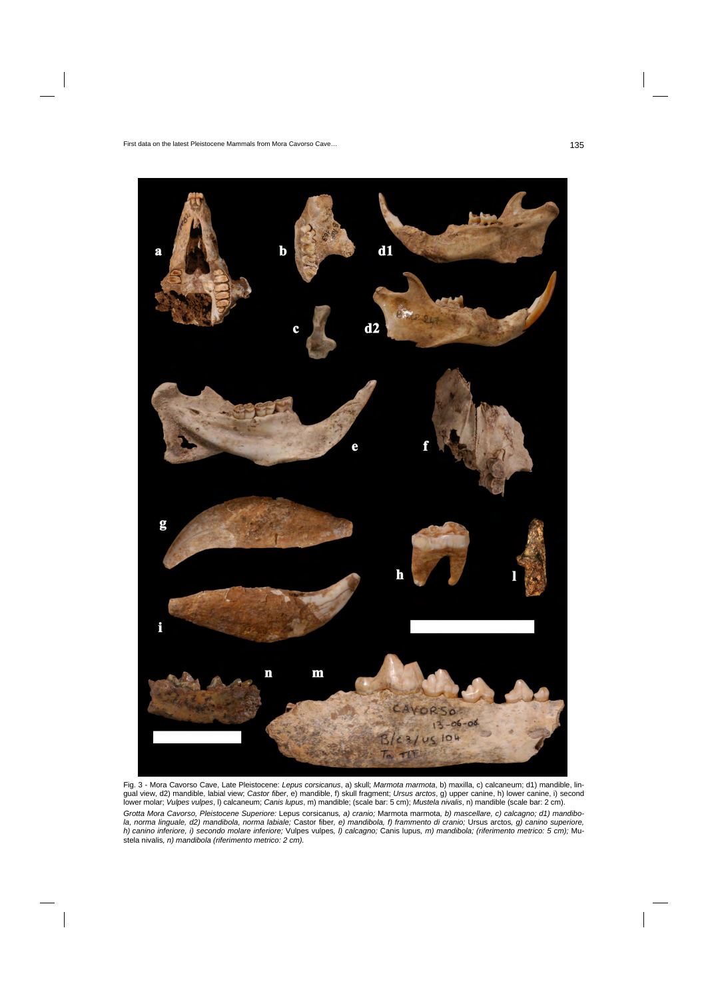

Fig. 3 - Mora Cavorso Cave, Late Pleistocene: *Lepus corsicanus*, a) skull; *Marmota marmota*, b) maxilla, c) calcaneum; d1) mandible, lingual view, d2) mandible, labial view; *Castor fiber*, e) mandible, f) skull fragment; *Ursus arctos*, g) upper canine, h) lower canine, i) second lower molar; *Vulpes vulpes*, l) calcaneum; *Canis lupus*, m) mandible; (scale bar: 5 cm); *Mustela nivalis*, n) mandible (scale bar: 2 cm). *Grotta Mora Cavorso, Pleistocene Superiore:* Lepus corsicanus*, a) cranio;* Marmota marmota*, b) mascellare, c) calcagno; d1) mandibola, norma linguale, d2) mandibola, norma labiale;* Castor fiber*, e) mandibola, f) frammento di cranio;* Ursus arctos*, g) canino superiore, h) canino inferiore, i) secondo molare inferiore;* Vulpes vulpes*, l) calcagno;* Canis lupus*, m) mandibola; (riferimento metrico: 5 cm);* Mustela nivalis*, n) mandibola (riferimento metrico: 2 cm).*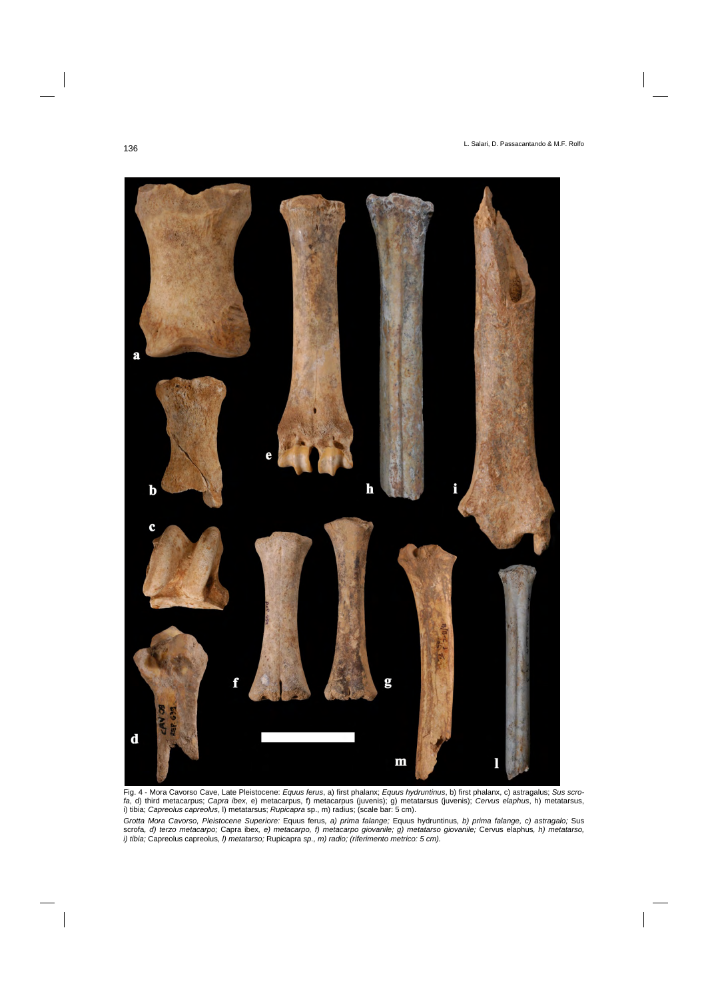

Fig. 4 - Mora Cavorso Cave, Late Pleistocene: *Equus ferus*, a) first phalanx; *Equus hydruntinus*, b) first phalanx, c) astragalus; *Sus scrofa*, d) third metacarpus; *Capra ibex*, e) metacarpus, f) metacarpus (juvenis); g) metatarsus (juvenis); *Cervus elaphus*, h) metatarsus, i) tibia; *Capreolus capreolus*, l) metatarsus; *Rupicapra* sp., m) radius; (scale bar: 5 cm).

*Grotta Mora Cavorso, Pleistocene Superiore:* Equus ferus*, a) prima falange;* Equus hydruntinus*, b) prima falange, c) astragalo;* Sus scrofa*, d) terzo metacarpo;* Capra ibex*, e) metacarpo, f) metacarpo giovanile; g) metatarso giovanile;* Cervus elaphus*, h) metatarso, i) tibia;* Capreolus capreolus*, l) metatarso;* Rupicapra *sp., m) radio; (riferimento metrico: 5 cm).*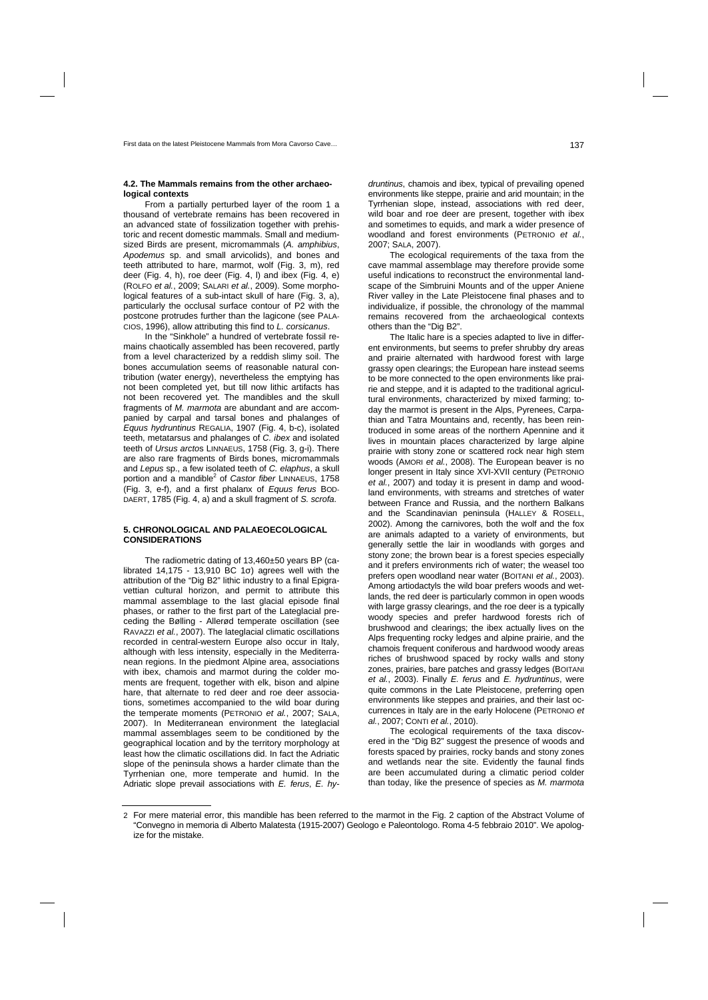### **4.2. The Mammals remains from the other archaeological contexts**

From a partially perturbed layer of the room 1 a thousand of vertebrate remains has been recovered in an advanced state of fossilization together with prehistoric and recent domestic mammals. Small and mediumsized Birds are present, micromammals (*A. amphibius*, *Apodemus* sp. and small arvicolids), and bones and teeth attributed to hare, marmot, wolf (Fig. 3, m), red deer (Fig. 4, h), roe deer (Fig. 4, l) and ibex (Fig. 4, e) (ROLFO *et al.*, 2009; SALARI *et al.*, 2009). Some morphological features of a sub-intact skull of hare (Fig. 3, a), particularly the occlusal surface contour of P2 with the postcone protrudes further than the lagicone (see PALA-CIOS, 1996), allow attributing this find to *L. corsicanus*.

In the "Sinkhole" a hundred of vertebrate fossil remains chaotically assembled has been recovered, partly from a level characterized by a reddish slimy soil. The bones accumulation seems of reasonable natural contribution (water energy), nevertheless the emptying has not been completed yet, but till now lithic artifacts has not been recovered yet. The mandibles and the skull fragments of *M. marmota* are abundant and are accompanied by carpal and tarsal bones and phalanges of *Equus hydruntinus* REGALIA, 1907 (Fig. 4, b-c), isolated teeth, metatarsus and phalanges of *C. ibex* and isolated teeth of *Ursus arcto*s LINNAEUS, 1758 (Fig. 3, g-i). There are also rare fragments of Birds bones, micromammals and *Lepus* sp., a few isolated teeth of *C. elaphus*, a skull portion and a mandible2 of *Castor fiber* LINNAEUS, 1758 (Fig. 3, e-f), and a first phalanx of *Equus ferus* BOD-DAERT, 1785 (Fig. 4, a) and a skull fragment of *S. scrofa*.

### **5. CHRONOLOGICAL AND PALAEOECOLOGICAL CONSIDERATIONS**

The radiometric dating of 13,460±50 years BP (calibrated 14,175 - 13,910 BC 1σ) agrees well with the attribution of the "Dig B2" lithic industry to a final Epigravettian cultural horizon, and permit to attribute this mammal assemblage to the last glacial episode final phases, or rather to the first part of the Lateglacial preceding the Bølling - Allerød temperate oscillation (see RAVAZZI *et al.*, 2007). The lateglacial climatic oscillations recorded in central-western Europe also occur in Italy, although with less intensity, especially in the Mediterranean regions. In the piedmont Alpine area, associations with ibex, chamois and marmot during the colder moments are frequent, together with elk, bison and alpine hare, that alternate to red deer and roe deer associations, sometimes accompanied to the wild boar during the temperate moments (PETRONIO *et al.*, 2007; SALA, 2007). In Mediterranean environment the lateglacial mammal assemblages seem to be conditioned by the geographical location and by the territory morphology at least how the climatic oscillations did. In fact the Adriatic slope of the peninsula shows a harder climate than the Tyrrhenian one, more temperate and humid. In the Adriatic slope prevail associations with *E. ferus*, *E. hy-*

*druntinus*, chamois and ibex, typical of prevailing opened environments like steppe, prairie and arid mountain; in the Tyrrhenian slope, instead, associations with red deer, wild boar and roe deer are present, together with ibex and sometimes to equids, and mark a wider presence of woodland and forest environments (PETRONIO *et al.*, 2007; SALA, 2007).

The ecological requirements of the taxa from the cave mammal assemblage may therefore provide some useful indications to reconstruct the environmental landscape of the Simbruini Mounts and of the upper Aniene River valley in the Late Pleistocene final phases and to individualize, if possible, the chronology of the mammal remains recovered from the archaeological contexts others than the "Dig B2".

The Italic hare is a species adapted to live in different environments, but seems to prefer shrubby dry areas and prairie alternated with hardwood forest with large grassy open clearings; the European hare instead seems to be more connected to the open environments like prairie and steppe, and it is adapted to the traditional agricultural environments, characterized by mixed farming; today the marmot is present in the Alps, Pyrenees, Carpathian and Tatra Mountains and, recently, has been reintroduced in some areas of the northern Apennine and it lives in mountain places characterized by large alpine prairie with stony zone or scattered rock near high stem woods (AMORI *et al.*, 2008). The European beaver is no longer present in Italy since XVI-XVII century (PETRONIO *et al.*, 2007) and today it is present in damp and woodland environments, with streams and stretches of water between France and Russia, and the northern Balkans and the Scandinavian peninsula (HALLEY & ROSELL, 2002). Among the carnivores, both the wolf and the fox are animals adapted to a variety of environments, but generally settle the lair in woodlands with gorges and stony zone; the brown bear is a forest species especially and it prefers environments rich of water; the weasel too prefers open woodland near water (BOITANI *et al.*, 2003). Among artiodactyls the wild boar prefers woods and wetlands, the red deer is particularly common in open woods with large grassy clearings, and the roe deer is a typically woody species and prefer hardwood forests rich of brushwood and clearings; the ibex actually lives on the Alps frequenting rocky ledges and alpine prairie, and the chamois frequent coniferous and hardwood woody areas riches of brushwood spaced by rocky walls and stony zones, prairies, bare patches and grassy ledges (BOITANI *et al.*, 2003). Finally *E. ferus* and *E. hydruntinus*, were quite commons in the Late Pleistocene, preferring open environments like steppes and prairies, and their last occurrences in Italy are in the early Holocene (PETRONIO *et al.*, 2007; CONTI *et al.*, 2010).

The ecological requirements of the taxa discovered in the "Dig B2" suggest the presence of woods and forests spaced by prairies, rocky bands and stony zones and wetlands near the site. Evidently the faunal finds are been accumulated during a climatic period colder than today, like the presence of species as *M. marmota*

<sup>2</sup> For mere material error, this mandible has been referred to the marmot in the Fig. 2 caption of the Abstract Volume of "Convegno in memoria di Alberto Malatesta (1915-2007) Geologo e Paleontologo. Roma 4-5 febbraio 2010". We apologize for the mistake.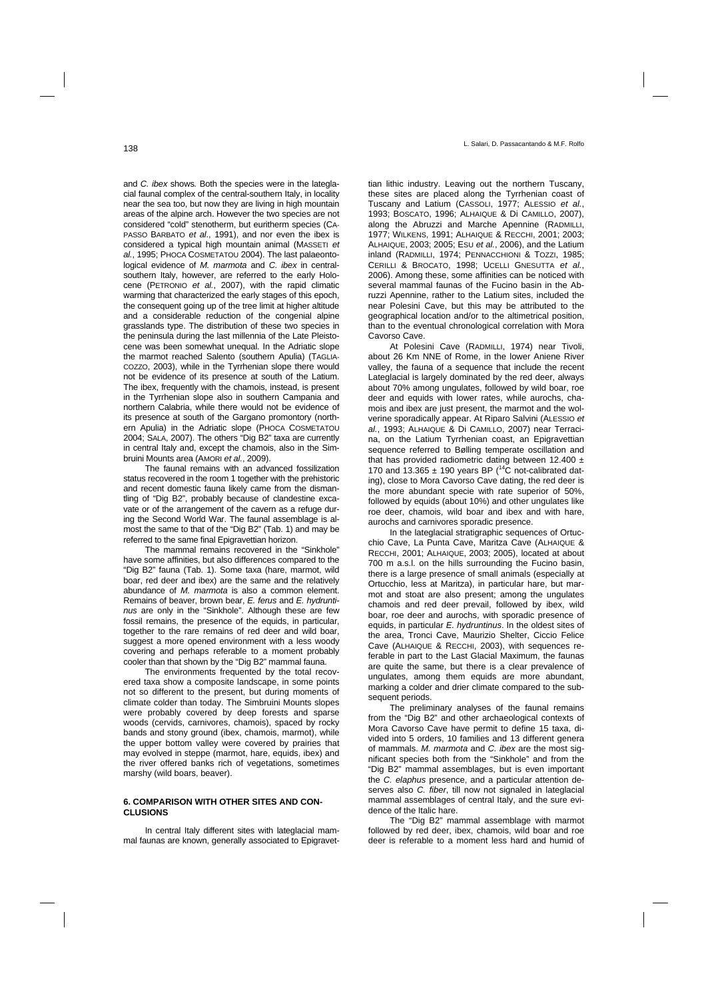and *C. ibex* shows*.* Both the species were in the lateglacial faunal complex of the central-southern Italy, in locality near the sea too, but now they are living in high mountain areas of the alpine arch. However the two species are not considered "cold" stenotherm, but euritherm species (CA-PASSO BARBATO *et al*., 1991), and nor even the ibex is considered a typical high mountain animal (MASSETI *et al.*, 1995; PHOCA COSMETATOU 2004). The last palaeontological evidence of *M. marmota* and *C. ibex* in centralsouthern Italy, however, are referred to the early Holocene (PETRONIO *et al.*, 2007), with the rapid climatic warming that characterized the early stages of this epoch, the consequent going up of the tree limit at higher altitude and a considerable reduction of the congenial alpine grasslands type. The distribution of these two species in the peninsula during the last millennia of the Late Pleistocene was been somewhat unequal. In the Adriatic slope the marmot reached Salento (southern Apulia) (TAGLIA-COZZO, 2003), while in the Tyrrhenian slope there would not be evidence of its presence at south of the Latium. The ibex, frequently with the chamois, instead, is present in the Tyrrhenian slope also in southern Campania and northern Calabria, while there would not be evidence of its presence at south of the Gargano promontory (northern Apulia) in the Adriatic slope (PHOCA COSMETATOU 2004; SALA, 2007). The others "Dig B2" taxa are currently in central Italy and, except the chamois, also in the Simbruini Mounts area (AMORI *et al.*, 2009).

The faunal remains with an advanced fossilization status recovered in the room 1 together with the prehistoric and recent domestic fauna likely came from the dismantling of "Dig B2", probably because of clandestine excavate or of the arrangement of the cavern as a refuge during the Second World War. The faunal assemblage is almost the same to that of the "Dig B2" (Tab. 1) and may be referred to the same final Epigravettian horizon.

The mammal remains recovered in the "Sinkhole" have some affinities, but also differences compared to the "Dig B2" fauna (Tab. 1). Some taxa (hare, marmot, wild boar, red deer and ibex) are the same and the relatively abundance of *M. marmota* is also a common element. Remains of beaver, brown bear, *E. ferus* and *E. hydruntinus* are only in the "Sinkhole". Although these are few fossil remains, the presence of the equids, in particular, together to the rare remains of red deer and wild boar, suggest a more opened environment with a less woody covering and perhaps referable to a moment probably cooler than that shown by the "Dig B2" mammal fauna.

The environments frequented by the total recovered taxa show a composite landscape, in some points not so different to the present, but during moments of climate colder than today. The Simbruini Mounts slopes were probably covered by deep forests and sparse woods (cervids, carnivores, chamois), spaced by rocky bands and stony ground (ibex, chamois, marmot), while the upper bottom valley were covered by prairies that may evolved in steppe (marmot, hare, equids, ibex) and the river offered banks rich of vegetations, sometimes marshy (wild boars, beaver).

### **6. COMPARISON WITH OTHER SITES AND CON-CLUSIONS**

In central Italy different sites with lateglacial mammal faunas are known, generally associated to Epigravettian lithic industry. Leaving out the northern Tuscany, these sites are placed along the Tyrrhenian coast of Tuscany and Latium (CASSOLI, 1977; ALESSIO *et al.*, 1993; BOSCATO, 1996; ALHAIQUE & Di CAMILLO, 2007), along the Abruzzi and Marche Apennine (RADMILLI, 1977; WILKENS, 1991; ALHAIQUE & RECCHI, 2001; 2003; ALHAIQUE, 2003; 2005; ESU *et al.*, 2006), and the Latium inland (RADMILLI, 1974; PENNACCHIONI & TOZZI, 1985; CERILLI & BROCATO, 1998; UCELLI GNESUTTA *et al.*, 2006). Among these, some affinities can be noticed with several mammal faunas of the Fucino basin in the Abruzzi Apennine, rather to the Latium sites, included the near Polesini Cave, but this may be attributed to the geographical location and/or to the altimetrical position, than to the eventual chronological correlation with Mora Cavorso Cave.

At Polesini Cave (RADMILLI, 1974) near Tivoli, about 26 Km NNE of Rome, in the lower Aniene River valley, the fauna of a sequence that include the recent Lateglacial is largely dominated by the red deer, always about 70% among ungulates, followed by wild boar, roe deer and equids with lower rates, while aurochs, chamois and ibex are just present, the marmot and the wolverine sporadically appear. At Riparo Salvini (ALESSIO *et al.*, 1993; ALHAIQUE & Di CAMILLO, 2007) near Terracina, on the Latium Tyrrhenian coast, an Epigravettian sequence referred to Bølling temperate oscillation and that has provided radiometric dating between 12.400  $\pm$ 170 and 13.365  $\pm$  190 years BP (<sup>14</sup>C not-calibrated dating), close to Mora Cavorso Cave dating, the red deer is the more abundant specie with rate superior of 50%, followed by equids (about 10%) and other ungulates like roe deer, chamois, wild boar and ibex and with hare, aurochs and carnivores sporadic presence.

In the lateglacial stratigraphic sequences of Ortucchio Cave, La Punta Cave, Maritza Cave (ALHAIQUE & RECCHI, 2001; ALHAIQUE, 2003; 2005), located at about 700 m a.s.l. on the hills surrounding the Fucino basin, there is a large presence of small animals (especially at Ortucchio, less at Maritza), in particular hare, but marmot and stoat are also present; among the ungulates chamois and red deer prevail, followed by ibex, wild boar, roe deer and aurochs, with sporadic presence of equids, in particular *E. hydruntinus*. In the oldest sites of the area, Tronci Cave, Maurizio Shelter, Ciccio Felice Cave (ALHAIQUE & RECCHI, 2003), with sequences referable in part to the Last Glacial Maximum, the faunas are quite the same, but there is a clear prevalence of ungulates, among them equids are more abundant, marking a colder and drier climate compared to the subsequent periods.

The preliminary analyses of the faunal remains from the "Dig B2" and other archaeological contexts of Mora Cavorso Cave have permit to define 15 taxa, divided into 5 orders, 10 families and 13 different genera of mammals. *M. marmota* and *C. ibex* are the most significant species both from the "Sinkhole" and from the "Dig B2" mammal assemblages, but is even important the *C. elaphus* presence, and a particular attention deserves also *C. fiber*, till now not signaled in lateglacial mammal assemblages of central Italy, and the sure evidence of the Italic hare.

The "Dig B2" mammal assemblage with marmot followed by red deer, ibex, chamois, wild boar and roe deer is referable to a moment less hard and humid of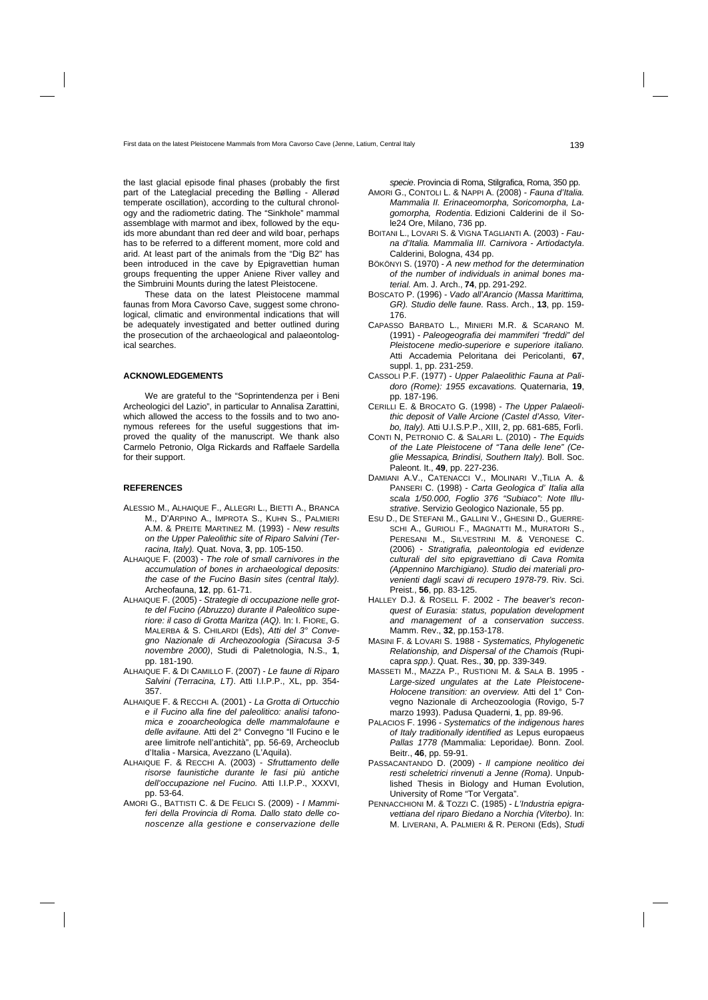the last glacial episode final phases (probably the first part of the Lateglacial preceding the Bølling - Allerød temperate oscillation), according to the cultural chronology and the radiometric dating. The "Sinkhole" mammal assemblage with marmot and ibex, followed by the equids more abundant than red deer and wild boar, perhaps has to be referred to a different moment, more cold and arid. At least part of the animals from the "Dig B2" has been introduced in the cave by Epigravettian human groups frequenting the upper Aniene River valley and the Simbruini Mounts during the latest Pleistocene.

These data on the latest Pleistocene mammal faunas from Mora Cavorso Cave, suggest some chronological, climatic and environmental indications that will be adequately investigated and better outlined during the prosecution of the archaeological and palaeontological searches.

#### **ACKNOWLEDGEMENTS**

We are grateful to the "Soprintendenza per i Beni Archeologici del Lazio", in particular to Annalisa Zarattini, which allowed the access to the fossils and to two anonymous referees for the useful suggestions that improved the quality of the manuscript. We thank also Carmelo Petronio, Olga Rickards and Raffaele Sardella for their support.

#### **REFERENCES**

- ALESSIO M., ALHAIQUE F., ALLEGRI L., BIETTI A., BRANCA M., D'ARPINO A., IMPROTA S., KUHN S., PALMIERI A.M. & PREITE MARTINEZ M. (1993) - *New results on the Upper Paleolithic site of Riparo Salvini (Terracina, Italy).* Quat. Nova, **3**, pp. 105-150.
- ALHAIQUE F. (2003) *The role of small carnivores in the accumulation of bones in archaeological deposits: the case of the Fucino Basin sites (central Italy).* Archeofauna, **12**, pp. 61-71.
- ALHAIQUE F. (2005) *Strategie di occupazione nelle grotte del Fucino (Abruzzo) durante il Paleolitico superiore: il caso di Grotta Maritza (AQ).* In: I. FIORE, G. MALERBA & S. CHILARDI (Eds), *Atti del 3° Convegno Nazionale di Archeozoologia (Siracusa 3-5 novembre 2000)*, Studi di Paletnologia, N.S., **1**, pp. 181-190.
- ALHAIQUE F. & DI CAMILLO F. (2007) *Le faune di Riparo Salvini (Terracina, LT)*. Atti I.I.P.P., XL, pp. 354- 357.
- ALHAIQUE F. & RECCHI A. (2001) *La Grotta di Ortucchio e il Fucino alla fine del paleolitico: analisi tafonomica e zooarcheologica delle mammalofaune e delle avifaune.* Atti del 2° Convegno "Il Fucino e le aree limitrofe nell'antichità", pp. 56-69, Archeoclub d'Italia - Marsica, Avezzano (L'Aquila).
- ALHAIQUE F. & RECCHI A. (2003) *Sfruttamento delle risorse faunistiche durante le fasi più antiche dell'occupazione nel Fucino.* Atti I.I.P.P., XXXVI, pp. 53-64.
- AMORI G., BATTISTI C. & DE FELICI S. (2009) *I Mammiferi della Provincia di Roma. Dallo stato delle conoscenze alla gestione e conservazione delle*

 *specie*. Provincia di Roma, Stilgrafica, Roma, 350 pp.

- AMORI G., CONTOLI L. & NAPPI A. (2008) *Fauna d'Italia. Mammalia II. Erinaceomorpha, Soricomorpha, Lagomorpha, Rodentia*. Edizioni Calderini de il Sole24 Ore, Milano, 736 pp.
- BOITANI L., LOVARI S. & VIGNA TAGLIANTI A. (2003) *Fauna d'Italia. Mammalia III. Carnivora - Artiodactyla*. Calderini, Bologna, 434 pp.
- BÖKÖNYI S. (1970) *A new method for the determination of the number of individuals in animal bones material.* Am. J. Arch., **74**, pp. 291-292.
- BOSCATO P. (1996) *Vado all'Arancio (Massa Marittima, GR). Studio delle faune.* Rass. Arch., **13**, pp. 159- 176.
- CAPASSO BARBATO L., MINIERI M.R. & SCARANO M. (1991) - *Paleogeografia dei mammiferi "freddi" del Pleistocene medio-superiore e superiore italiano.*  Atti Accademia Peloritana dei Pericolanti, **67**, suppl. 1, pp. 231-259.
- CASSOLI P.F. (1977) *Upper Palaeolithic Fauna at Palidoro (Rome): 1955 excavations.* Quaternaria, **19**, pp. 187-196.
- CERILLI E. & BROCATO G. (1998) *The Upper Palaeolithic deposit of Valle Arcione (Castel d'Asso, Viterbo, Italy).* Atti U.I.S.P.P., XIII, 2, pp. 681-685, Forlì.
- CONTI N, PETRONIO C. & SALARI L. (2010) *The Equids of the Late Pleistocene of "Tana delle Iene" (Ceglie Messapica, Brindisi, Southern Italy).* Boll. Soc. Paleont. It., **49**, pp. 227-236.
- DAMIANI A.V., CATENACCI V., MOLINARI V.,TILIA A. & PANSERI C. (1998) - *Carta Geologica d' Italia alla scala 1/50.000, Foglio 376 "Subiaco": Note Illustrative*. Servizio Geologico Nazionale, 55 pp.
- ESU D., DE STEFANI M., GALLINI V., GHESINI D., GUERRE-SCHI A., GURIOLI F., MAGNATTI M., MURATORI S., PERESANI M., SILVESTRINI M. & VERONESE C. (2006) - *Stratigrafia, paleontologia ed evidenze culturali del sito epigravettiano di Cava Romita (Appennino Marchigiano). Studio dei materiali provenienti dagli scavi di recupero 1978-79*. Riv. Sci. Preist., **56**, pp. 83-125.
- HALLEY D.J. & ROSELL F. 2002 *The beaver's reconquest of Eurasia: status, population development and management of a conservation success*. Mamm. Rev., **32**, pp.153-178.
- MASINI F. & LOVARI S. 1988 *Systematics, Phylogenetic Relationship, and Dispersal of the Chamois (*Rupicapra *spp.)*. Quat. Res., **30**, pp. 339-349.
- MASSETI M., MAZZA P., RUSTIONI M. & SALA B. 1995 *Large-sized ungulates at the Late Pleistocene-Holocene transition: an overview.* Atti del 1° Convegno Nazionale di Archeozoologia (Rovigo, 5-7 marzo 1993). Padusa Quaderni, **1**, pp. 89-96.
- PALACIOS F. 1996 *Systematics of the indigenous hares of Italy traditionally identified as* Lepus europaeus *Pallas 1778 (*Mammalia: Leporidae*).* Bonn. Zool. Beitr., **46**, pp. 59-91.
- PASSACANTANDO D. (2009) *Il campione neolitico dei resti scheletrici rinvenuti a Jenne (Roma)*. Unpublished Thesis in Biology and Human Evolution, University of Rome "Tor Vergata".
- PENNACCHIONI M. & TOZZI C. (1985) *L'Industria epigravettiana del riparo Biedano a Norchia (Viterbo)*. In: M. LIVERANI, A. PALMIERI & R. PERONI (Eds), *Studi*